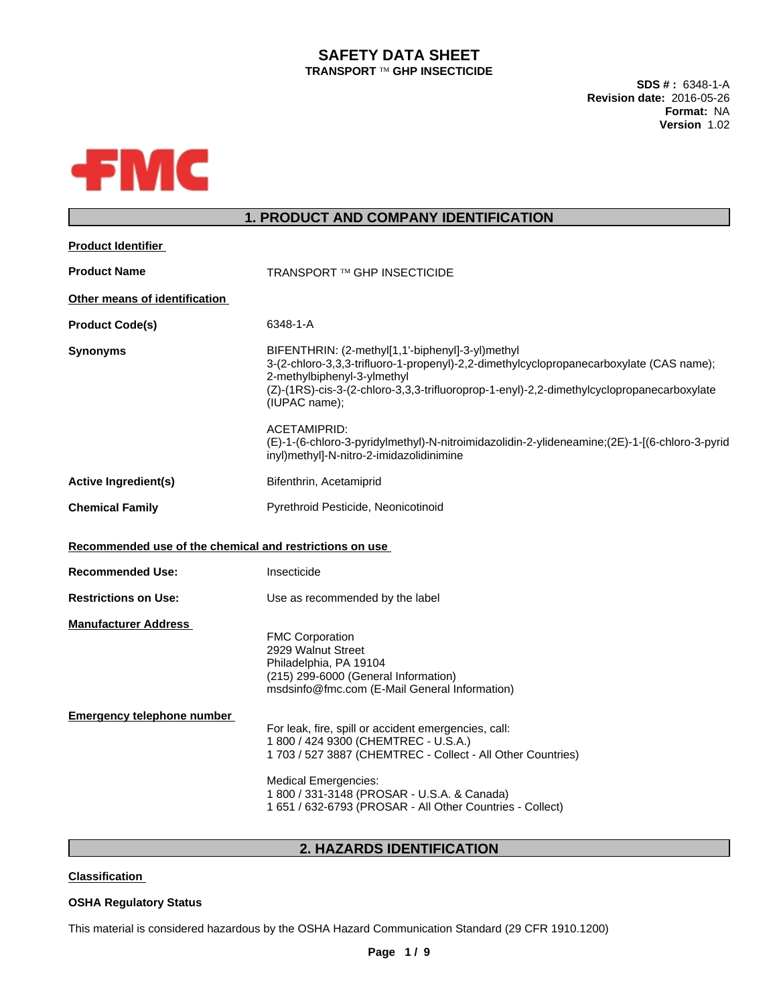# **SAFETY DATA SHEET TRANSPORT <b>TM** GHP INSECTICIDE

**SDS # :** 6348-1-A **Revision date:** 2016-05-26 **Format:** NA **Version** 1.02



# **1. PRODUCT AND COMPANY IDENTIFICATION**

| <b>Product Identifier</b>                               |                                                                                                                                                                                                                                                                                                        |
|---------------------------------------------------------|--------------------------------------------------------------------------------------------------------------------------------------------------------------------------------------------------------------------------------------------------------------------------------------------------------|
| <b>Product Name</b>                                     | <b>TRANSPORT ™ GHP INSECTICIDE</b>                                                                                                                                                                                                                                                                     |
| Other means of identification                           |                                                                                                                                                                                                                                                                                                        |
| <b>Product Code(s)</b>                                  | 6348-1-A                                                                                                                                                                                                                                                                                               |
| <b>Synonyms</b>                                         | BIFENTHRIN: (2-methyl[1,1'-biphenyl]-3-yl)methyl<br>3-(2-chloro-3,3,3-trifluoro-1-propenyl)-2,2-dimethylcyclopropanecarboxylate (CAS name);<br>2-methylbiphenyl-3-ylmethyl<br>(Z)-(1RS)-cis-3-(2-chloro-3,3,3-trifluoroprop-1-enyl)-2,2-dimethylcyclopropanecarboxylate<br>(IUPAC name);               |
|                                                         | <b>ACETAMIPRID:</b><br>(E)-1-(6-chloro-3-pyridylmethyl)-N-nitroimidazolidin-2-ylideneamine;(2E)-1-(6-chloro-3-pyrid<br>inyl)methyl]-N-nitro-2-imidazolidinimine                                                                                                                                        |
| <b>Active Ingredient(s)</b>                             | Bifenthrin, Acetamiprid                                                                                                                                                                                                                                                                                |
| <b>Chemical Family</b>                                  | Pyrethroid Pesticide, Neonicotinoid                                                                                                                                                                                                                                                                    |
| Recommended use of the chemical and restrictions on use |                                                                                                                                                                                                                                                                                                        |
| <b>Recommended Use:</b>                                 | Insecticide                                                                                                                                                                                                                                                                                            |
| <b>Restrictions on Use:</b>                             | Use as recommended by the label                                                                                                                                                                                                                                                                        |
| <b>Manufacturer Address</b>                             | <b>FMC Corporation</b><br>2929 Walnut Street<br>Philadelphia, PA 19104<br>(215) 299-6000 (General Information)<br>msdsinfo@fmc.com (E-Mail General Information)                                                                                                                                        |
| <b>Emergency telephone number</b>                       | For leak, fire, spill or accident emergencies, call:<br>1 800 / 424 9300 (CHEMTREC - U.S.A.)<br>1 703 / 527 3887 (CHEMTREC - Collect - All Other Countries)<br><b>Medical Emergencies:</b><br>1 800 / 331-3148 (PROSAR - U.S.A. & Canada)<br>1 651 / 632-6793 (PROSAR - All Other Countries - Collect) |
|                                                         |                                                                                                                                                                                                                                                                                                        |

# **2. HAZARDS IDENTIFICATION**

**Classification**

# **OSHA Regulatory Status**

This material is considered hazardous by the OSHA Hazard Communication Standard (29 CFR 1910.1200)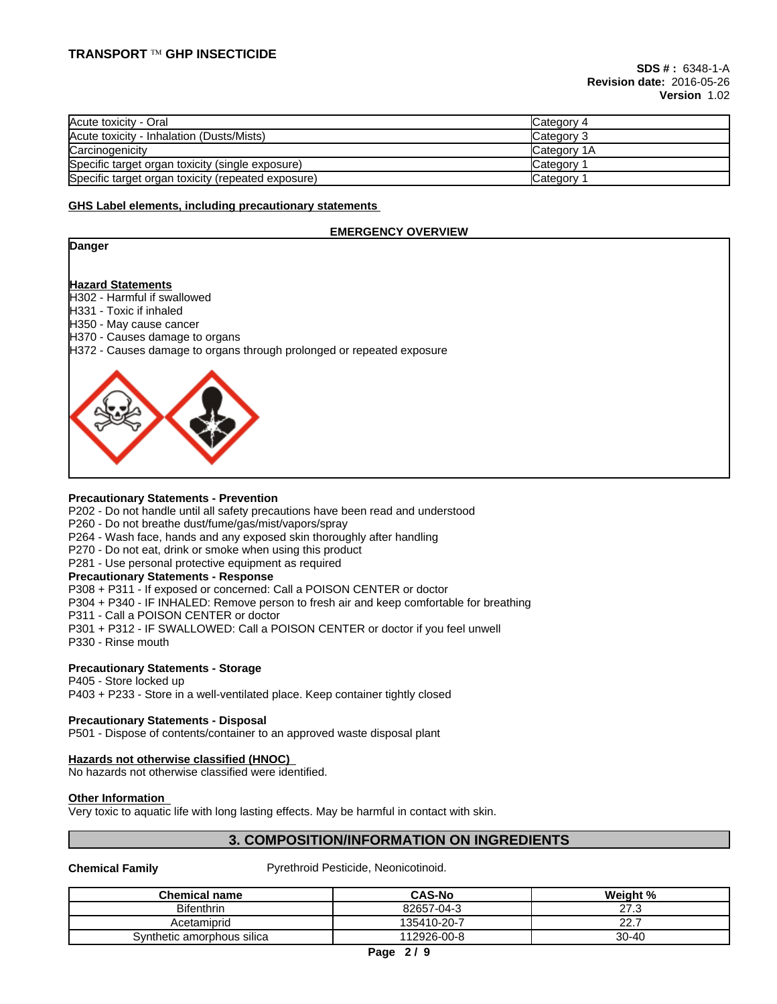| Acute toxicity - Oral                              | Category 4         |
|----------------------------------------------------|--------------------|
| Acute toxicity - Inhalation (Dusts/Mists)          | Category 3         |
| Carcinogenicity                                    | <b>Category 1A</b> |
| Specific target organ toxicity (single exposure)   | Category           |
| Specific target organ toxicity (repeated exposure) | Category           |

#### **GHS Label elements, including precautionary statements**

#### **EMERGENCY OVERVIEW**

#### **Danger**

#### **Hazard Statements**

 $H302$  - Harmful if swallowed

H331 - Toxic if inhaled

H350 - May cause cancer

H370 - Causes damage to organs

H372 - Causes damage to organs through prolonged or repeated exposure



#### **Precautionary Statements - Prevention**

P202 - Do not handle until all safety precautions have been read and understood

P260 - Do not breathe dust/fume/gas/mist/vapors/spray

P264 - Wash face, hands and any exposed skin thoroughly after handling

P270 - Do not eat, drink or smoke when using this product

P281 - Use personal protective equipment as required

# **Precautionary Statements - Response**

P308 + P311 - If exposed or concerned: Call a POISON CENTER or doctor

P304 + P340 - IF INHALED: Remove person to fresh air and keep comfortable for breathing

P311 - Call a POISON CENTER or doctor

P301 + P312 - IF SWALLOWED: Call a POISON CENTER or doctor if you feel unwell

P330 - Rinse mouth

# **Precautionary Statements - Storage**

#### P405 - Store locked up

P403 + P233 - Store in a well-ventilated place. Keep container tightly closed

# **Precautionary Statements - Disposal**

P501 - Dispose of contents/container to an approved waste disposal plant

# **Hazards not otherwise classified (HNOC)**

No hazards not otherwise classified were identified.

# **Other Information**

Very toxic to aquatic life with long lasting effects. May be harmful in contact with skin.

# **3. COMPOSITION/INFORMATION ON INGREDIENTS**

**Chemical Family** Pyrethroid Pesticide, Neonicotinoid.

| <b>Chemical name</b>       | <b>CAS-No</b> | Weight %                 |
|----------------------------|---------------|--------------------------|
| <b>Bifenthrin</b>          | 82657-04-3    | $\sim$ $\sim$<br>$\cdot$ |
| Acetamiprid                | 135410-20-7   | $\sim$ $\sim$<br><u></u> |
| Synthetic amorphous silica | 112926-00-8   | $30 - 40$                |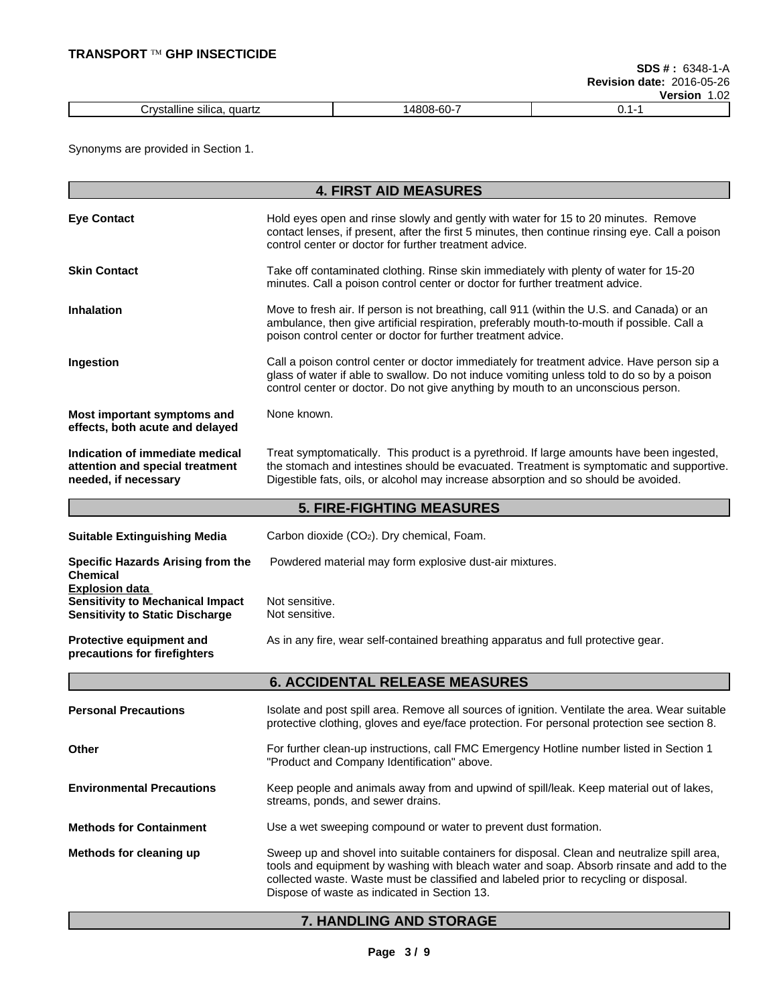|                                                                         |                                  | ---<br>ושופ<br>.02<br>- |
|-------------------------------------------------------------------------|----------------------------------|-------------------------|
| $\cdots$<br><br>quartz<br>allı<br>SIIICa<br>ו הי<br>ne<br>$\cdots$<br>. | $\sim$<br>،4808<br>.<br>ovu<br>w |                         |

Synonyms are provided in Section 1.

|                                                                                                            | <b>4. FIRST AID MEASURES</b>                                                                                                                                                                                                                                                                                                     |
|------------------------------------------------------------------------------------------------------------|----------------------------------------------------------------------------------------------------------------------------------------------------------------------------------------------------------------------------------------------------------------------------------------------------------------------------------|
| <b>Eye Contact</b>                                                                                         | Hold eyes open and rinse slowly and gently with water for 15 to 20 minutes. Remove<br>contact lenses, if present, after the first 5 minutes, then continue rinsing eye. Call a poison<br>control center or doctor for further treatment advice.                                                                                  |
| <b>Skin Contact</b>                                                                                        | Take off contaminated clothing. Rinse skin immediately with plenty of water for 15-20<br>minutes. Call a poison control center or doctor for further treatment advice.                                                                                                                                                           |
| <b>Inhalation</b>                                                                                          | Move to fresh air. If person is not breathing, call 911 (within the U.S. and Canada) or an<br>ambulance, then give artificial respiration, preferably mouth-to-mouth if possible. Call a<br>poison control center or doctor for further treatment advice.                                                                        |
| Ingestion                                                                                                  | Call a poison control center or doctor immediately for treatment advice. Have person sip a<br>glass of water if able to swallow. Do not induce vomiting unless told to do so by a poison<br>control center or doctor. Do not give anything by mouth to an unconscious person.                                                    |
| Most important symptoms and<br>effects, both acute and delayed                                             | None known.                                                                                                                                                                                                                                                                                                                      |
| Indication of immediate medical<br>attention and special treatment<br>needed, if necessary                 | Treat symptomatically. This product is a pyrethroid. If large amounts have been ingested,<br>the stomach and intestines should be evacuated. Treatment is symptomatic and supportive.<br>Digestible fats, oils, or alcohol may increase absorption and so should be avoided.                                                     |
|                                                                                                            | <b>5. FIRE-FIGHTING MEASURES</b>                                                                                                                                                                                                                                                                                                 |
| <b>Suitable Extinguishing Media</b>                                                                        | Carbon dioxide (CO2). Dry chemical, Foam.                                                                                                                                                                                                                                                                                        |
| Specific Hazards Arising from the<br><b>Chemical</b>                                                       | Powdered material may form explosive dust-air mixtures.                                                                                                                                                                                                                                                                          |
| <b>Explosion data</b><br><b>Sensitivity to Mechanical Impact</b><br><b>Sensitivity to Static Discharge</b> | Not sensitive.<br>Not sensitive.                                                                                                                                                                                                                                                                                                 |
| Protective equipment and<br>precautions for firefighters                                                   | As in any fire, wear self-contained breathing apparatus and full protective gear.                                                                                                                                                                                                                                                |
|                                                                                                            | <b>6. ACCIDENTAL RELEASE MEASURES</b>                                                                                                                                                                                                                                                                                            |
| <b>Personal Precautions</b>                                                                                | Isolate and post spill area. Remove all sources of ignition. Ventilate the area. Wear suitable<br>protective clothing, gloves and eye/face protection. For personal protection see section 8.                                                                                                                                    |
| Other                                                                                                      | For further clean-up instructions, call FMC Emergency Hotline number listed in Section 1<br>"Product and Company Identification" above.                                                                                                                                                                                          |
| <b>Environmental Precautions</b>                                                                           | Keep people and animals away from and upwind of spill/leak. Keep material out of lakes,<br>streams, ponds, and sewer drains.                                                                                                                                                                                                     |
| <b>Methods for Containment</b>                                                                             | Use a wet sweeping compound or water to prevent dust formation.                                                                                                                                                                                                                                                                  |
| Methods for cleaning up                                                                                    | Sweep up and shovel into suitable containers for disposal. Clean and neutralize spill area,<br>tools and equipment by washing with bleach water and soap. Absorb rinsate and add to the<br>collected waste. Waste must be classified and labeled prior to recycling or disposal.<br>Dispose of waste as indicated in Section 13. |

# **7. HANDLING AND STORAGE**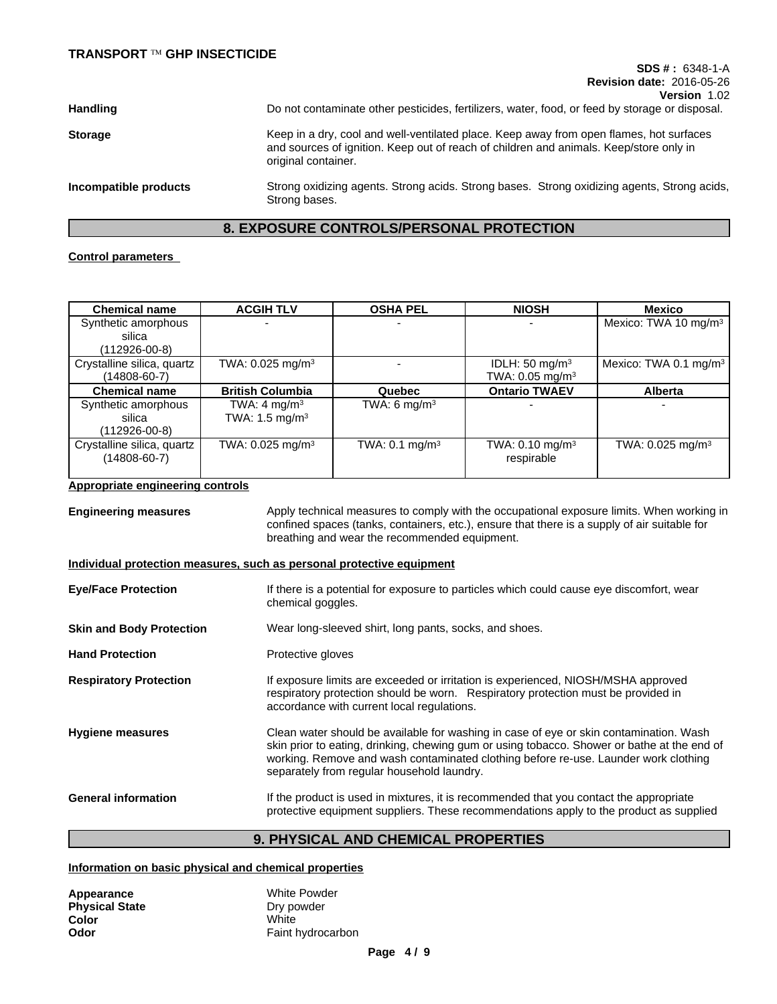# **SDS # :** 6348-1-A **Revision date:** 2016-05-26

| <b>Handling</b>       | Do not contaminate other pesticides, fertilizers, water, food, or feed by storage or disposal.                                                                                                           |
|-----------------------|----------------------------------------------------------------------------------------------------------------------------------------------------------------------------------------------------------|
| <b>Storage</b>        | Keep in a dry, cool and well-ventilated place. Keep away from open flames, hot surfaces<br>and sources of ignition. Keep out of reach of children and animals. Keep/store only in<br>original container. |
| Incompatible products | Strong oxidizing agents. Strong acids. Strong bases. Strong oxidizing agents, Strong acids,<br>Strong bases.                                                                                             |

### **8. EXPOSURE CONTROLS/PERSONAL PROTECTION**

#### **Control parameters**

| <b>Chemical name</b>       | <b>ACGIH TLV</b>               | <b>OSHA PEL</b>           | <b>NIOSH</b>                  | Mexico                            |
|----------------------------|--------------------------------|---------------------------|-------------------------------|-----------------------------------|
| Synthetic amorphous        |                                |                           | $\overline{\phantom{0}}$      | Mexico: TWA 10 mg/m <sup>3</sup>  |
| silica                     |                                |                           |                               |                                   |
| $(112926-00-8)$            |                                |                           |                               |                                   |
| Crystalline silica, quartz | TWA: 0.025 mg/m <sup>3</sup>   |                           | IDLH: $50 \text{ mg/m}^3$     | Mexico: TWA 0.1 mg/m <sup>3</sup> |
| $(14808 - 60 - 7)$         |                                |                           | TWA: $0.05$ mg/m <sup>3</sup> |                                   |
| <b>Chemical name</b>       | <b>British Columbia</b>        | Quebec                    | <b>Ontario TWAEV</b>          | <b>Alberta</b>                    |
| Synthetic amorphous        | TWA: $4 \text{ mg/m}^3$        | TWA: 6 mg/m <sup>3</sup>  | -                             |                                   |
| silica                     | TWA: $1.5 \text{ mg/m}^3$      |                           |                               |                                   |
| (112926-00-8)              |                                |                           |                               |                                   |
| Crystalline silica, quartz | TWA: $0.025$ mg/m <sup>3</sup> | TWA: $0.1 \text{ mg/m}^3$ | TWA: $0.10$ mg/m <sup>3</sup> | TWA: $0.025$ mg/m <sup>3</sup>    |
| (14808-60-7)               |                                |                           | respirable                    |                                   |
|                            |                                |                           |                               |                                   |

#### **Appropriate engineering controls**

**Engineering measures** Apply technical measures to comply with the occupational exposure limits. When working in confined spaces (tanks, containers, etc.), ensure that there is a supply of air suitable for breathing and wear the recommended equipment. **Individual protection measures, such as personal protective equipment Eye/Face Protection** If there is a potential for exposure to particles which could cause eye discomfort, wear chemical goggles. **Skin and Body Protection** Wear long-sleeved shirt, long pants, socks, and shoes. Hand Protection **Protective gloves Respiratory Protection** If exposure limits are exceeded or irritation is experienced, NIOSH/MSHA approved respiratory protection should be worn. Respiratory protection must be provided in accordance with current local regulations.

**Hygiene measures** Clean water should be available for washing in case of eye or skin contamination. Wash skin prior to eating, drinking, chewing gum or using tobacco. Shower or bathe at the end of working. Remove and wash contaminated clothing before re-use. Launder work clothing separately from regular household laundry.

General information **If the product is used in mixtures**, it is recommended that you contact the appropriate protective equipment suppliers. These recommendations apply to the product as supplied

# **9. PHYSICAL AND CHEMICAL PROPERTIES**

#### **Information on basic physical and chemical properties**

| Appearance            | White Powder      |
|-----------------------|-------------------|
| <b>Physical State</b> | Dry powder        |
| Color                 | White             |
| Odor                  | Faint hydrocarbon |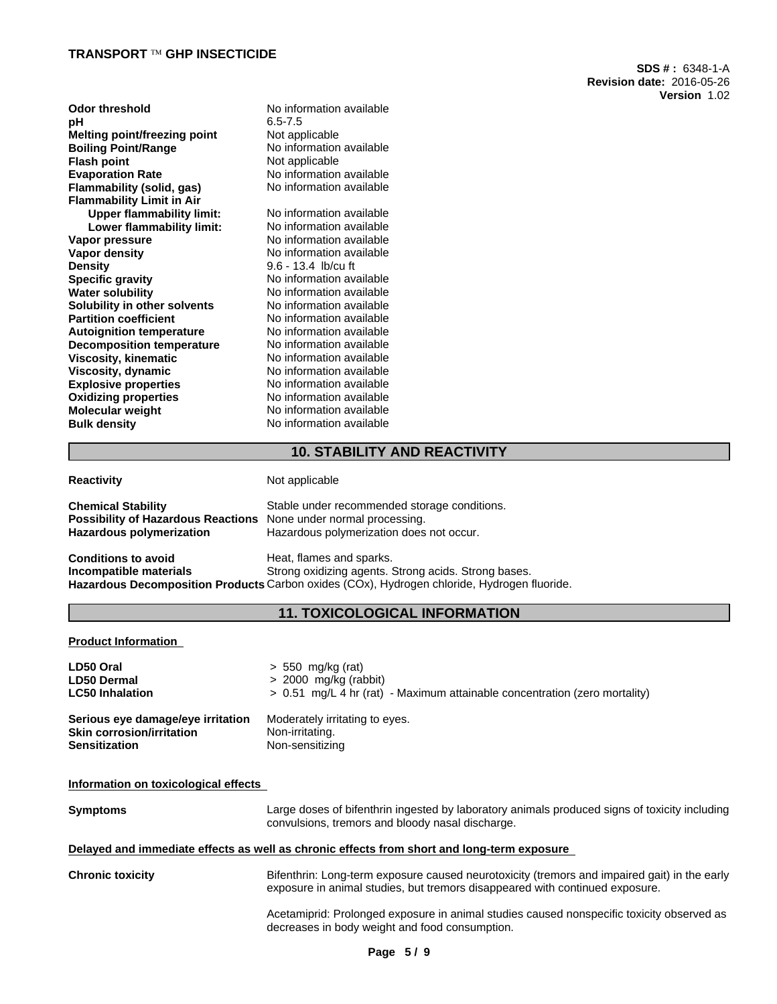#### **TRANSPORT Ô GHP INSECTICIDE**

| <b>Odor threshold</b><br>рH      | No information available<br>$6.5 - 7.5$ |  |
|----------------------------------|-----------------------------------------|--|
| Melting point/freezing point     | Not applicable                          |  |
| <b>Boiling Point/Range</b>       | No information available                |  |
| <b>Flash point</b>               | Not applicable                          |  |
| <b>Evaporation Rate</b>          | No information available                |  |
| Flammability (solid, gas)        | No information available                |  |
| <b>Flammability Limit in Air</b> |                                         |  |
| <b>Upper flammability limit:</b> | No information available                |  |
| Lower flammability limit:        | No information available                |  |
| Vapor pressure                   | No information available                |  |
|                                  | No information available                |  |
| Vapor density                    | 9.6 - 13.4 lb/cu ft                     |  |
| <b>Density</b>                   |                                         |  |
| <b>Specific gravity</b>          | No information available                |  |
| Water solubility                 | No information available                |  |
| Solubility in other solvents     | No information available                |  |
| <b>Partition coefficient</b>     | No information available                |  |
| <b>Autoignition temperature</b>  | No information available                |  |
| <b>Decomposition temperature</b> | No information available                |  |
| Viscosity, kinematic             | No information available                |  |
| Viscosity, dynamic               | No information available                |  |
| <b>Explosive properties</b>      | No information available                |  |
| <b>Oxidizing properties</b>      | No information available                |  |
| Molecular weight                 | No information available                |  |
| <b>Bulk density</b>              | No information available                |  |
|                                  |                                         |  |

**SDS # :** 6348-1-A **Revision date:** 2016-05-26 **Version** 1.02

# **10. STABILITY AND REACTIVITY**

**Reactivity Not applicable** 

| <b>Chemical Stability</b><br>Possibility of Hazardous Reactions None under normal processing.<br><b>Hazardous polymerization</b> | Stable under recommended storage conditions.<br>Hazardous polymerization does not occur.                                                                                        |
|----------------------------------------------------------------------------------------------------------------------------------|---------------------------------------------------------------------------------------------------------------------------------------------------------------------------------|
| Conditions to avoid<br>Incompatible materials                                                                                    | Heat, flames and sparks.<br>Strong oxidizing agents. Strong acids. Strong bases.<br>Hazardous Decomposition Products Carbon oxides (COx), Hydrogen chloride, Hydrogen fluoride. |

# **11. TOXICOLOGICAL INFORMATION**

**Product Information**

| LD50 Oral                         | $> 550$ mg/kg (rat)                                                        |
|-----------------------------------|----------------------------------------------------------------------------|
| <b>LD50 Dermal</b>                | $> 2000$ mg/kg (rabbit)                                                    |
| <b>LC50 Inhalation</b>            | > 0.51 mg/L 4 hr (rat) - Maximum attainable concentration (zero mortality) |
| Serious eye damage/eye irritation | Moderately irritating to eyes.                                             |
| <b>Skin corrosion/irritation</b>  | Non-irritating.                                                            |
| <b>Sensitization</b>              | Non-sensitizing                                                            |

#### **Information on toxicological effects**

| <b>Symptoms</b> | Large doses of bifenthrin ingested by laboratory animals produced signs of toxicity including |
|-----------------|-----------------------------------------------------------------------------------------------|
|                 | convulsions, tremors and bloody nasal discharge.                                              |

#### **Delayed and immediate effects as well as chronic effects from short and long-term exposure**

**Chronic toxicity** Bifenthrin: Long-term exposure caused neurotoxicity (tremors and impaired gait) in the early exposure in animal studies, but tremors disappeared with continued exposure.

> Acetamiprid: Prolonged exposure in animal studies caused nonspecific toxicity observed as decreases in body weight and food consumption.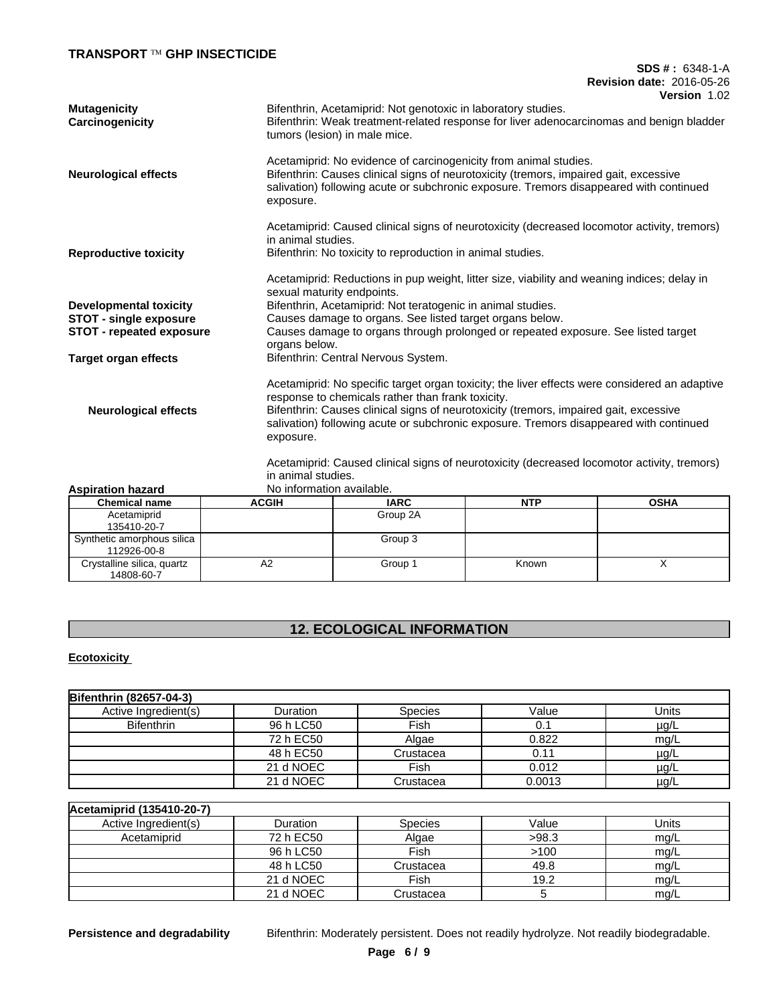# **TRANSPORT Ô GHP INSECTICIDE**

#### **SDS # :** 6348-1-A **Revision date:** 2016-05-26 **Version** 1.02

|                                        | VEISIVII 1.VZ                                                                                                                                                                                                                                                                                                                         |
|----------------------------------------|---------------------------------------------------------------------------------------------------------------------------------------------------------------------------------------------------------------------------------------------------------------------------------------------------------------------------------------|
| <b>Mutagenicity</b><br>Carcinogenicity | Bifenthrin, Acetamiprid: Not genotoxic in laboratory studies.<br>Bifenthrin: Weak treatment-related response for liver adenocarcinomas and benign bladder<br>tumors (lesion) in male mice.                                                                                                                                            |
| <b>Neurological effects</b>            | Acetamiprid: No evidence of carcinogenicity from animal studies.<br>Bifenthrin: Causes clinical signs of neurotoxicity (tremors, impaired gait, excessive<br>salivation) following acute or subchronic exposure. Tremors disappeared with continued<br>exposure.                                                                      |
| <b>Reproductive toxicity</b>           | Acetamiprid: Caused clinical signs of neurotoxicity (decreased locomotor activity, tremors)<br>in animal studies.<br>Bifenthrin: No toxicity to reproduction in animal studies.                                                                                                                                                       |
|                                        | Acetamiprid: Reductions in pup weight, litter size, viability and weaning indices; delay in<br>sexual maturity endpoints.                                                                                                                                                                                                             |
| <b>Developmental toxicity</b>          | Bifenthrin, Acetamiprid: Not teratogenic in animal studies.                                                                                                                                                                                                                                                                           |
| <b>STOT - single exposure</b>          | Causes damage to organs. See listed target organs below.                                                                                                                                                                                                                                                                              |
| <b>STOT - repeated exposure</b>        | Causes damage to organs through prolonged or repeated exposure. See listed target<br>organs below.                                                                                                                                                                                                                                    |
| Target organ effects                   | Bifenthrin: Central Nervous System.                                                                                                                                                                                                                                                                                                   |
| <b>Neurological effects</b>            | Acetamiprid: No specific target organ toxicity; the liver effects were considered an adaptive<br>response to chemicals rather than frank toxicity.<br>Bifenthrin: Causes clinical signs of neurotoxicity (tremors, impaired gait, excessive<br>salivation) following acute or subchronic exposure. Tremors disappeared with continued |
|                                        | exposure.<br>Acetamiprid: Caused clinical signs of neurotoxicity (decreased locomotor activity, tremors)                                                                                                                                                                                                                              |
|                                        | in animal studies.                                                                                                                                                                                                                                                                                                                    |

| <b>Aspiration hazard</b>                  | No information available. |             |            |             |
|-------------------------------------------|---------------------------|-------------|------------|-------------|
| <b>Chemical name</b>                      | <b>ACGIH</b>              | <b>IARC</b> | <b>NTP</b> | <b>OSHA</b> |
| Acetamiprid<br>135410-20-7                |                           | Group 2A    |            |             |
| Synthetic amorphous silica<br>112926-00-8 |                           | Group 3     |            |             |
| Crystalline silica, quartz<br>14808-60-7  | A2                        | Group 1     | Known      |             |

# **12. ECOLOGICAL INFORMATION**

**Ecotoxicity** 

| <b>Bifenthrin (82657-04-3)</b> |           |                |        |           |
|--------------------------------|-----------|----------------|--------|-----------|
| Active Ingredient(s)           | Duration  | <b>Species</b> | Value  | Units     |
| <b>Bifenthrin</b>              | 96 h LC50 | Fish           | 0.1    | $\mu$ g/L |
|                                | 72 h EC50 | Algae          | 0.822  | mg/L      |
|                                | 48 h EC50 | Crustacea      | 0.11   | $\mu$ g/L |
|                                | 21 d NOEC | Fish           | 0.012  | $\mu$ g/L |
|                                | 21 d NOEC | Crustacea      | 0.0013 | $\mu$ g/L |

| Acetamiprid (135410-20-7) |           |                |       |       |
|---------------------------|-----------|----------------|-------|-------|
| Active Ingredient(s)      | Duration  | <b>Species</b> | Value | Units |
| Acetamiprid               | 72 h EC50 | Algae          | >98.3 | mg/L  |
|                           | 96 h LC50 | Fish           | >100  | mq/L  |
|                           | 48 h LC50 | Crustacea      | 49.8  | mg/L  |
|                           | 21 d NOEC | Fish           | 19.2  | mg/L  |
|                           | 21 d NOEC | Crustacea      |       | mq/L  |

**Persistence and degradability** Bifenthrin: Moderately persistent. Does not readily hydrolyze. Not readily biodegradable.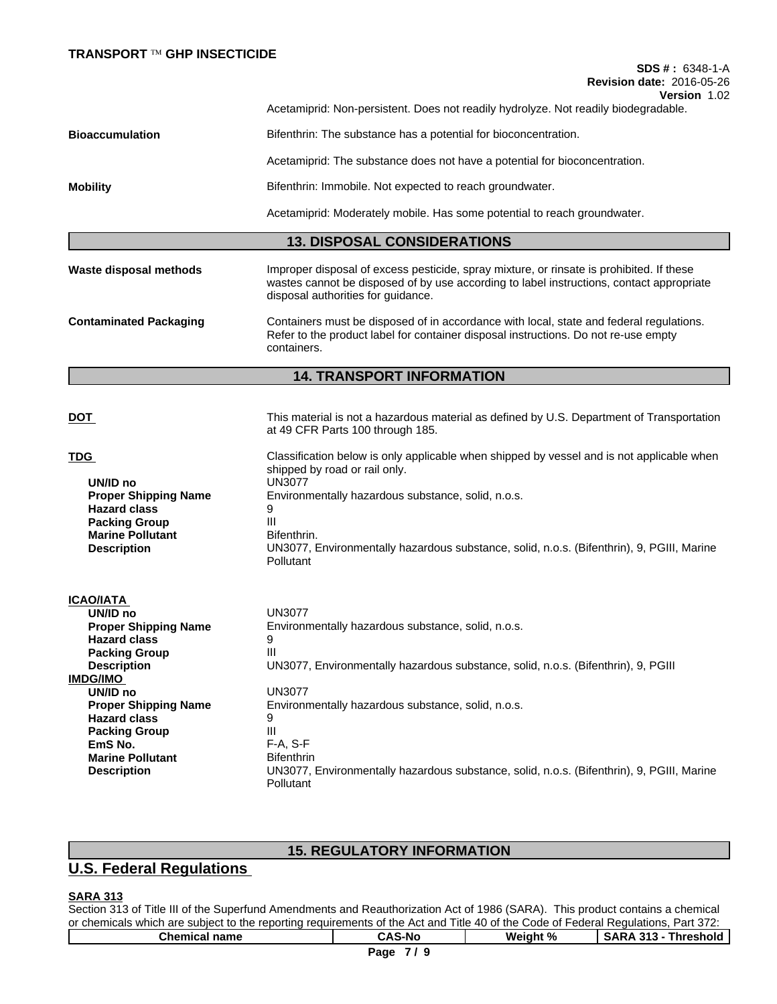**SDS # :** 6348-1-A **Revision date:** 2016-05-26

**Version** 1.02

Acetamiprid: Non-persistent. Does not readily hydrolyze. Not readily biodegradable. **Bioaccumulation Bifenthrin:** The substance has a potential for bioconcentration.

Acetamiprid: The substance does not have a potential for bioconcentration.

**Mobility Bifenthrin: Immobile. Not expected to reach groundwater.** 

Acetamiprid: Moderately mobile. Has some potential to reach groundwater.

# **13. DISPOSAL CONSIDERATIONS**

**Waste disposal methods** Improper disposal of excess pesticide, spray mixture, or rinsate is prohibited. If these wastes cannot be disposed of by use according to label instructions, contact appropriate disposal authorities for guidance. **Contaminated Packaging** Containers must be disposed of in accordance with local, state and federal regulations. Refer to the product label for container disposal instructions. Do not re-use empty containers.

# **14. TRANSPORT INFORMATION**

| <b>DOT</b>                                                                                                                                     | This material is not a hazardous material as defined by U.S. Department of Transportation<br>at 49 CFR Parts 100 through 185.                                                                                                                                                                                                        |
|------------------------------------------------------------------------------------------------------------------------------------------------|--------------------------------------------------------------------------------------------------------------------------------------------------------------------------------------------------------------------------------------------------------------------------------------------------------------------------------------|
| TDG<br>UN/ID no<br><b>Proper Shipping Name</b><br><b>Hazard class</b><br><b>Packing Group</b><br><b>Marine Pollutant</b><br><b>Description</b> | Classification below is only applicable when shipped by vessel and is not applicable when<br>shipped by road or rail only.<br><b>UN3077</b><br>Environmentally hazardous substance, solid, n.o.s.<br>9<br>Ш<br>Bifenthrin.<br>UN3077, Environmentally hazardous substance, solid, n.o.s. (Bifenthrin), 9, PGIII, Marine<br>Pollutant |
| ICAO/IATA                                                                                                                                      |                                                                                                                                                                                                                                                                                                                                      |
| UN/ID no                                                                                                                                       | <b>UN3077</b>                                                                                                                                                                                                                                                                                                                        |
| <b>Proper Shipping Name</b>                                                                                                                    | Environmentally hazardous substance, solid, n.o.s.                                                                                                                                                                                                                                                                                   |
| <b>Hazard class</b>                                                                                                                            | 9                                                                                                                                                                                                                                                                                                                                    |
| <b>Packing Group</b>                                                                                                                           | Ш                                                                                                                                                                                                                                                                                                                                    |
| <b>Description</b>                                                                                                                             | UN3077, Environmentally hazardous substance, solid, n.o.s. (Bifenthrin), 9, PGIII                                                                                                                                                                                                                                                    |
| IMDG/IMO                                                                                                                                       |                                                                                                                                                                                                                                                                                                                                      |
| UN/ID no                                                                                                                                       | <b>UN3077</b>                                                                                                                                                                                                                                                                                                                        |
| <b>Proper Shipping Name</b>                                                                                                                    | Environmentally hazardous substance, solid, n.o.s.                                                                                                                                                                                                                                                                                   |
| <b>Hazard class</b>                                                                                                                            | 9                                                                                                                                                                                                                                                                                                                                    |
| <b>Packing Group</b>                                                                                                                           | Ш                                                                                                                                                                                                                                                                                                                                    |
| EmS No.<br><b>Marine Pollutant</b>                                                                                                             | $F-A, S-F$<br><b>Bifenthrin</b>                                                                                                                                                                                                                                                                                                      |
|                                                                                                                                                | UN3077, Environmentally hazardous substance, solid, n.o.s. (Bifenthrin), 9, PGIII, Marine                                                                                                                                                                                                                                            |
| <b>Description</b>                                                                                                                             | Pollutant                                                                                                                                                                                                                                                                                                                            |

# **15. REGULATORY INFORMATION**

# **U.S. Federal Regulations**

# **SARA 313**

Section 313 of Title III of the Superfund Amendments and Reauthorization Act of 1986 (SARA). This product contains a chemical or chemicals which are subject to the reporting requirements of the Act and Title 40 of the Code of Federal Regulations, Part 372: **Chemical name CAS-No Weight % SARA 313 - Threshold**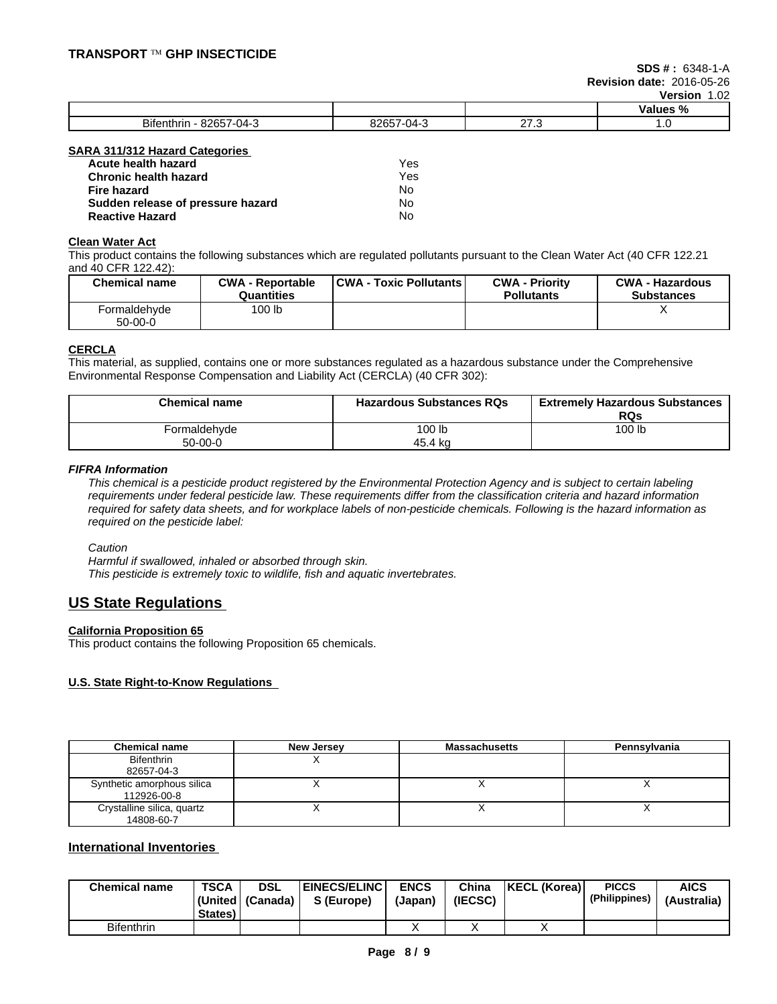|                                                                                 |                                         |                     | <b>Values</b><br>   |
|---------------------------------------------------------------------------------|-----------------------------------------|---------------------|---------------------|
| <b>Bifenth</b><br>noor<br>$\sim$<br>$\mathbf{A}$<br>enthrir.<br>-74-2<br>_ UU - | 92657<br>14.<br>.<br>$\sim$<br>u.<br>-- | $\sim$<br>.<br>____ | $\cdot \cdot \cdot$ |

#### **SARA 311/312 Hazard Categories**

| Acute health hazard               | Yes |
|-----------------------------------|-----|
| <b>Chronic health hazard</b>      | Yes |
| Fire hazard                       | N٥  |
| Sudden release of pressure hazard | N٥  |
| <b>Reactive Hazard</b>            | No  |

#### **Clean Water Act**

This product contains the following substances which are regulated pollutants pursuant to the Clean Water Act (40 CFR 122.21 and 40 CFR 122.42):

| <b>Chemical name</b>      | <b>CWA - Reportable</b><br>Quantities | CWA - Toxic Pollutants | <b>CWA - Priority</b><br><b>Pollutants</b> | <b>CWA - Hazardous</b><br><b>Substances</b> |
|---------------------------|---------------------------------------|------------------------|--------------------------------------------|---------------------------------------------|
| Formaldehvde<br>$50-00-0$ | 100 lb                                |                        |                                            |                                             |

#### **CERCLA**

This material, as supplied, contains one or more substances regulated as a hazardous substance under the Comprehensive Environmental Response Compensation and Liability Act (CERCLA) (40 CFR 302):

| <b>Chemical name</b> | <b>Hazardous Substances RQs</b> | <b>Extremely Hazardous Substances</b><br><b>RQs</b> |
|----------------------|---------------------------------|-----------------------------------------------------|
| Formaldehyde         | 100 lb                          | 100 lb                                              |
| 50-00-0              | 45.4 ka                         |                                                     |

#### *FIFRA Information*

This chemical is a pesticide product registered by the Environmental Protection Agency and is subject to certain labeling requirements under federal pesticide law. These requirements differ from the classification criteria and hazard information required for safety data sheets, and for workplace labels of non-pesticide chemicals. Following is the hazard information as *required on the pesticide label:*

*Caution*

*Harmful if swallowed, inhaled or absorbed through skin. This pesticide is extremely toxic to wildlife, fish and aquatic invertebrates.*

# **US State Regulations**

#### **California Proposition 65**

This product contains the following Proposition 65 chemicals.

#### **U.S. State Right-to-Know Regulations**

| <b>Chemical name</b>                      | New Jersey | <b>Massachusetts</b> | Pennsylvania |
|-------------------------------------------|------------|----------------------|--------------|
| <b>Bifenthrin</b><br>82657-04-3           |            |                      |              |
| Synthetic amorphous silica<br>112926-00-8 |            |                      |              |
| Crystalline silica, quartz<br>14808-60-7  |            |                      |              |

### **International Inventories**

| <b>Chemical name</b> | <b>TSCA</b><br>States) | <b>DSL</b><br>  (United   (Canada) | <b>EINECS/ELINC</b><br>S (Europe) | <b>ENCS</b><br>(Japan) | China<br>(IECSC) | <b>KECL (Korea)</b> | <b>PICCS</b><br>(Philippines) | <b>AICS</b><br>(Australia) |
|----------------------|------------------------|------------------------------------|-----------------------------------|------------------------|------------------|---------------------|-------------------------------|----------------------------|
| <b>Bifenthrin</b>    |                        |                                    |                                   |                        |                  |                     |                               |                            |